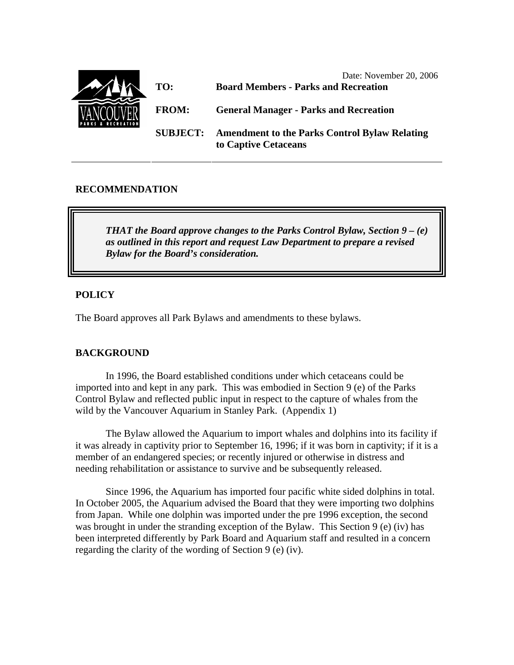

## **RECOMMENDATION**

*THAT the Board approve changes to the Parks Control Bylaw, Section 9 – (e) as outlined in this report and request Law Department to prepare a revised Bylaw for the Board's consideration.* 

#### **POLICY**

The Board approves all Park Bylaws and amendments to these bylaws.

# **BACKGROUND**

 In 1996, the Board established conditions under which cetaceans could be imported into and kept in any park. This was embodied in Section 9 (e) of the Parks Control Bylaw and reflected public input in respect to the capture of whales from the wild by the Vancouver Aquarium in Stanley Park. (Appendix 1)

The Bylaw allowed the Aquarium to import whales and dolphins into its facility if it was already in captivity prior to September 16, 1996; if it was born in captivity; if it is a member of an endangered species; or recently injured or otherwise in distress and needing rehabilitation or assistance to survive and be subsequently released.

Since 1996, the Aquarium has imported four pacific white sided dolphins in total. In October 2005, the Aquarium advised the Board that they were importing two dolphins from Japan. While one dolphin was imported under the pre 1996 exception, the second was brought in under the stranding exception of the Bylaw. This Section 9 (e) (iv) has been interpreted differently by Park Board and Aquarium staff and resulted in a concern regarding the clarity of the wording of Section 9 (e) (iv).